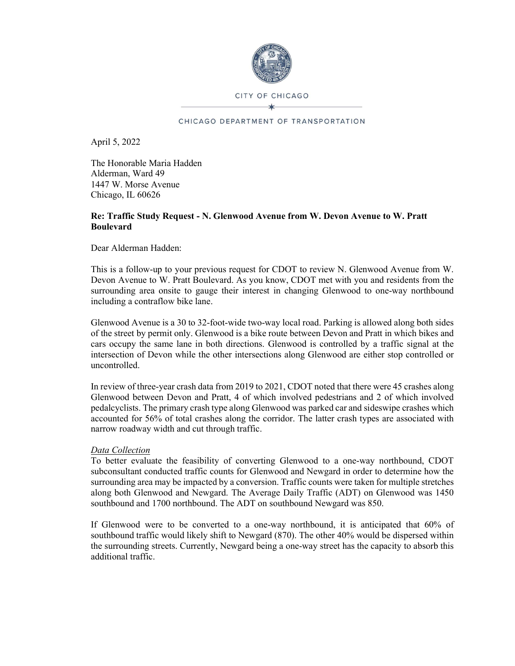

CITY OF CHICAGO

#### CHICAGO DEPARTMENT OF TRANSPORTATION

April 5, 2022

The Honorable Maria Hadden Alderman, Ward 49 1447 W. Morse Avenue Chicago, IL 60626

### Re: Traffic Study Request - N. Glenwood Avenue from W. Devon Avenue to W. Pratt **Boulevard**

Dear Alderman Hadden:

This is a follow-up to your previous request for CDOT to review N. Glenwood Avenue from W. Devon Avenue to W. Pratt Boulevard. As you know, CDOT met with you and residents from the surrounding area onsite to gauge their interest in changing Glenwood to one-way northbound including a contraflow bike lane.

Glenwood Avenue is a 30 to 32-foot-wide two-way local road. Parking is allowed along both sides of the street by permit only. Glenwood is a bike route between Devon and Pratt in which bikes and cars occupy the same lane in both directions. Glenwood is controlled by a traffic signal at the intersection of Devon while the other intersections along Glenwood are either stop controlled or uncontrolled.

In review of three-year crash data from 2019 to 2021, CDOT noted that there were 45 crashes along Glenwood between Devon and Pratt, 4 of which involved pedestrians and 2 of which involved pedalcyclists. The primary crash type along Glenwood was parked car and sideswipe crashes which accounted for 56% of total crashes along the corridor. The latter crash types are associated with narrow roadway width and cut through traffic.

### Data Collection

To better evaluate the feasibility of converting Glenwood to a one-way northbound, CDOT subconsultant conducted traffic counts for Glenwood and Newgard in order to determine how the surrounding area may be impacted by a conversion. Traffic counts were taken for multiple stretches along both Glenwood and Newgard. The Average Daily Traffic (ADT) on Glenwood was 1450 southbound and 1700 northbound. The ADT on southbound Newgard was 850.

If Glenwood were to be converted to a one-way northbound, it is anticipated that 60% of southbound traffic would likely shift to Newgard (870). The other 40% would be dispersed within the surrounding streets. Currently, Newgard being a one-way street has the capacity to absorb this additional traffic.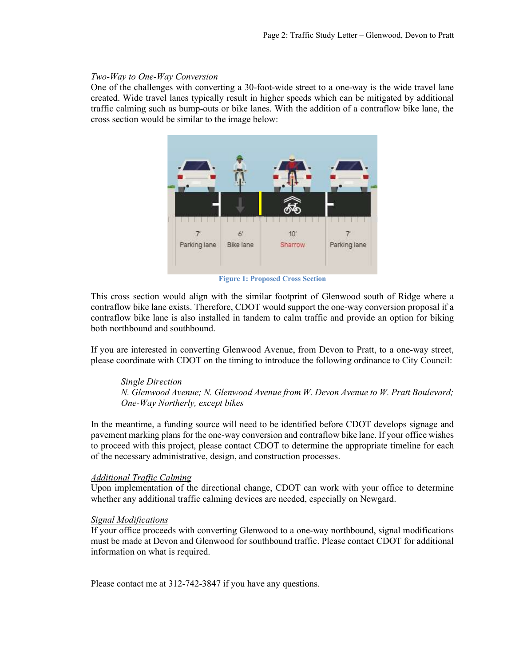## Two-Way to One-Way Conversion

One of the challenges with converting a 30-foot-wide street to a one-way is the wide travel lane created. Wide travel lanes typically result in higher speeds which can be mitigated by additional traffic calming such as bump-outs or bike lanes. With the addition of a contraflow bike lane, the cross section would be similar to the image below:



Figure 1: Proposed Cross Section

This cross section would align with the similar footprint of Glenwood south of Ridge where a contraflow bike lane exists. Therefore, CDOT would support the one-way conversion proposal if a contraflow bike lane is also installed in tandem to calm traffic and provide an option for biking both northbound and southbound.

If you are interested in converting Glenwood Avenue, from Devon to Pratt, to a one-way street, please coordinate with CDOT on the timing to introduce the following ordinance to City Council:

### Single Direction

N. Glenwood Avenue; N. Glenwood Avenue from W. Devon Avenue to W. Pratt Boulevard; One-Way Northerly, except bikes

In the meantime, a funding source will need to be identified before CDOT develops signage and pavement marking plans for the one-way conversion and contraflow bike lane. If your office wishes to proceed with this project, please contact CDOT to determine the appropriate timeline for each of the necessary administrative, design, and construction processes.

### Additional Traffic Calming

Upon implementation of the directional change, CDOT can work with your office to determine whether any additional traffic calming devices are needed, especially on Newgard.

# **Signal Modifications**

If your office proceeds with converting Glenwood to a one-way northbound, signal modifications must be made at Devon and Glenwood for southbound traffic. Please contact CDOT for additional information on what is required.

Please contact me at 312-742-3847 if you have any questions.